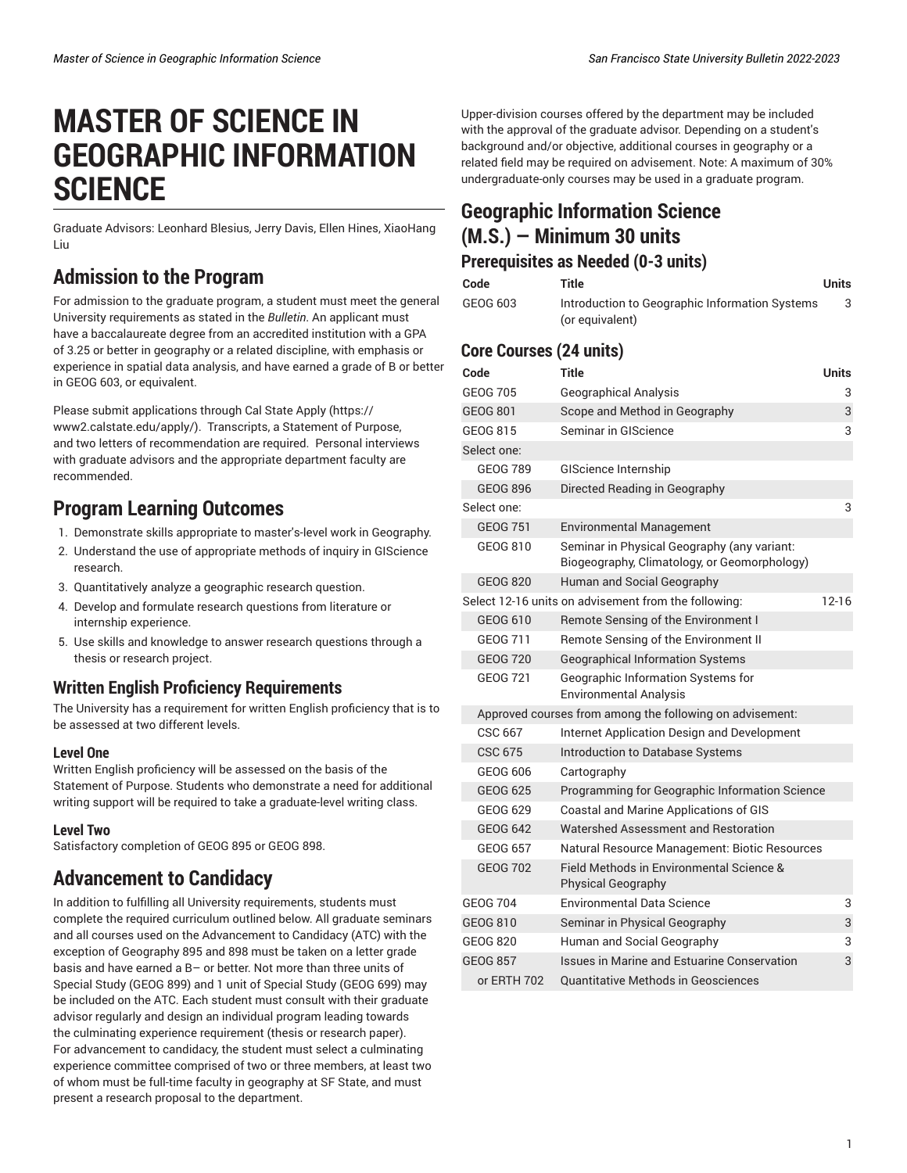# **MASTER OF SCIENCE IN GEOGRAPHIC INFORMATION SCIENCE**

Graduate Advisors: Leonhard Blesius, Jerry Davis, Ellen Hines, XiaoHang Liu

## **Admission to the Program**

For admission to the graduate program, a student must meet the general University requirements as stated in the *Bulletin*. An applicant must have a baccalaureate degree from an accredited institution with a GPA of 3.25 or better in geography or a related discipline, with emphasis or experience in spatial data analysis, and have earned a grade of B or better in GEOG 603, or equivalent.

Please submit applications through [Cal State Apply](https://www2.calstate.edu/apply/) ([https://](https://www2.calstate.edu/apply/) [www2.calstate.edu/apply/](https://www2.calstate.edu/apply/)). Transcripts, a Statement of Purpose, and two letters of recommendation are required. Personal interviews with graduate advisors and the appropriate department faculty are recommended.

## **Program Learning Outcomes**

- 1. Demonstrate skills appropriate to master's-level work in Geography.
- 2. Understand the use of appropriate methods of inquiry in GIScience research.
- 3. Quantitatively analyze a geographic research question.
- 4. Develop and formulate research questions from literature or internship experience.
- 5. Use skills and knowledge to answer research questions through a thesis or research project.

### **Written English Proficiency Requirements**

The University has a requirement for written English proficiency that is to be assessed at two different levels.

#### **Level One**

Written English proficiency will be assessed on the basis of the Statement of Purpose. Students who demonstrate a need for additional writing support will be required to take a graduate-level writing class.

#### **Level Two**

Satisfactory completion of GEOG 895 or GEOG 898.

# **Advancement to Candidacy**

In addition to fulfilling all University requirements, students must complete the required curriculum outlined below. All graduate seminars and all courses used on the Advancement to Candidacy (ATC) with the exception of Geography 895 and 898 must be taken on a letter grade basis and have earned a B– or better. Not more than three units of Special Study (GEOG 899) and 1 unit of Special Study (GEOG 699) may be included on the ATC. Each student must consult with their graduate advisor regularly and design an individual program leading towards the culminating experience requirement (thesis or research paper). For advancement to candidacy, the student must select a culminating experience committee comprised of two or three members, at least two of whom must be full-time faculty in geography at SF State, and must present a research proposal to the department.

Upper-division courses offered by the department may be included with the approval of the graduate advisor. Depending on a student's background and/or objective, additional courses in geography or a related field may be required on advisement. Note: A maximum of 30% undergraduate-only courses may be used in a graduate program.

### **Geographic Information Science (M.S.) — Minimum 30 units Prerequisites as Needed (0-3 units)**

| Code     | Title                                                             | Units |
|----------|-------------------------------------------------------------------|-------|
| GEOG 603 | Introduction to Geographic Information Systems<br>(or equivalent) |       |

### **Core Courses (24 units)**

| Code                                                              | <b>Title</b>                                                                                | <b>Units</b> |  |
|-------------------------------------------------------------------|---------------------------------------------------------------------------------------------|--------------|--|
| <b>GEOG 705</b>                                                   | <b>Geographical Analysis</b>                                                                | 3            |  |
| GEOG 801                                                          | Scope and Method in Geography                                                               | 3            |  |
| GEOG 815                                                          | Seminar in GIScience                                                                        | 3            |  |
| Select one:                                                       |                                                                                             |              |  |
| <b>GEOG 789</b>                                                   | <b>GIScience Internship</b>                                                                 |              |  |
| GEOG 896                                                          | Directed Reading in Geography                                                               |              |  |
| Select one:                                                       |                                                                                             | 3            |  |
| <b>GEOG 751</b>                                                   | <b>Environmental Management</b>                                                             |              |  |
| GEOG 810                                                          | Seminar in Physical Geography (any variant:<br>Biogeography, Climatology, or Geomorphology) |              |  |
| <b>GEOG 820</b>                                                   | Human and Social Geography                                                                  |              |  |
| $12 - 16$<br>Select 12-16 units on advisement from the following: |                                                                                             |              |  |
| GEOG 610                                                          | Remote Sensing of the Environment I                                                         |              |  |
| GEOG 711                                                          | Remote Sensing of the Environment II                                                        |              |  |
| <b>GEOG 720</b>                                                   | <b>Geographical Information Systems</b>                                                     |              |  |
| <b>GEOG 721</b>                                                   | Geographic Information Systems for<br><b>Environmental Analysis</b>                         |              |  |
|                                                                   | Approved courses from among the following on advisement:                                    |              |  |
| CSC 667                                                           | Internet Application Design and Development                                                 |              |  |
| CSC 675                                                           | <b>Introduction to Database Systems</b>                                                     |              |  |
| GEOG 606                                                          | Cartography                                                                                 |              |  |
| <b>GEOG 625</b>                                                   | Programming for Geographic Information Science                                              |              |  |
| GEOG 629                                                          | Coastal and Marine Applications of GIS                                                      |              |  |
| <b>GEOG 642</b>                                                   | Watershed Assessment and Restoration                                                        |              |  |
| <b>GEOG 657</b>                                                   | Natural Resource Management: Biotic Resources                                               |              |  |
| <b>GEOG 702</b>                                                   | Field Methods in Environmental Science &<br><b>Physical Geography</b>                       |              |  |
| <b>GEOG 704</b>                                                   | <b>Environmental Data Science</b>                                                           | 3            |  |
| GEOG 810                                                          | Seminar in Physical Geography                                                               | 3            |  |
| GEOG 820                                                          | Human and Social Geography                                                                  | 3            |  |
| <b>GEOG 857</b>                                                   | Issues in Marine and Estuarine Conservation                                                 | 3            |  |
| or ERTH 702                                                       | <b>Quantitative Methods in Geosciences</b>                                                  |              |  |